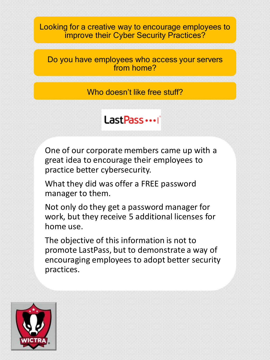Looking for a creative way to encourage employees to improve their Cyber Security Practices?

Do you have employees who access your servers from home?

Who doesn't like free stuff?

# Last Pass ... |

One of our corporate members came up with a great idea to encourage their employees to practice better cybersecurity.

What they did was offer a FREE password manager to them.

Not only do they get a password manager for work, but they receive 5 additional licenses for home use.

The objective of this information is not to promote LastPass, but to demonstrate a way of encouraging employees to adopt better security practices.

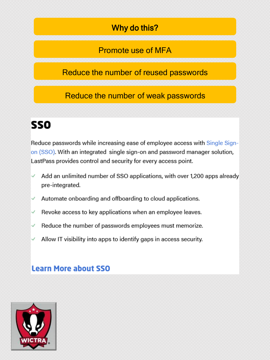### Why do this?

#### Promote use of MFA

#### Reduce the number of reused passwords

#### Reduce the number of weak passwords

# **SSO**

Reduce passwords while increasing ease of employee access with Single Signon (SSO). With an integrated single sign-on and password manager solution, LastPass provides control and security for every access point.

- Add an unlimited number of SSO applications, with over 1,200 apps already ✓ pre-integrated.
- Automate onboarding and offboarding to cloud applications. ✓
- Revoke access to key applications when an employee leaves. ✓
- Reduce the number of passwords employees must memorize. ✓
- Allow IT visibility into apps to identify gaps in access security.

#### **Learn More about SSO**

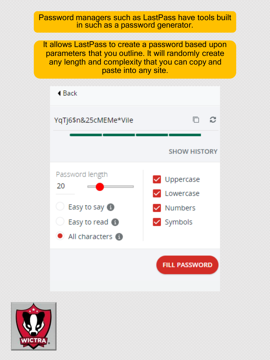#### Password managers such as LastPass have tools built in such as a password generator.

It allows LastPass to create a password based upon parameters that you outline. It will randomly create any length and complexity that you can copy and paste into any site.



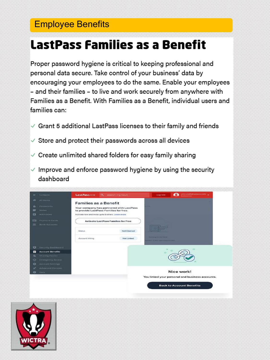## **Employee Benefits**

# **LastPass Families as a Benefit**

Proper password hygiene is critical to keeping professional and personal data secure. Take control of your business' data by encouraging your employees to do the same. Enable your employees - and their families - to live and work securely from anywhere with Families as a Benefit. With Families as a Benefit, individual users and families can:

- $\checkmark$  Grant 5 additional LastPass licenses to their family and friends
- Store and protect their passwords across all devices
- $\checkmark$  Create unlimited shared folders for easy family sharing
- $\checkmark$  Improve and enforce password hygiene by using the security dashboard



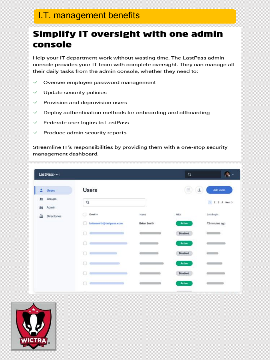### I.T. management benefits

## **Simplify IT oversight with one admin** console

Help your IT department work without wasting time. The LastPass admin console provides your IT team with complete oversight. They can manage all their daily tasks from the admin console, whether they need to:

- Oversee employee password management ✓
- Update security policies ✓
- ✓ Provision and deprovision users
- Deploy authentication methods for onboarding and offboarding ✓
- Federate user logins to LastPass ✓
- Produce admin security reports ✓

Streamline IT's responsibilities by providing them with a one-stop security management dashboard.

| LastPass                  |                         |                    | ۹               | $\mathcal{R}_\mathbf{a}$<br>v |
|---------------------------|-------------------------|--------------------|-----------------|-------------------------------|
| 2<br><b>Users</b>         | <b>Users</b>            |                    | $\equiv$<br>玉   | Add users                     |
| 盐<br>Groups<br>R<br>Admin | $\alpha$                |                    |                 | 1 2 3 4 Next >                |
| 面<br><b>Directories</b>   | Email ^                 | Name               | <b>MFA</b>      | Last Login                    |
|                           | briansmith@lastpass.com | <b>Brian Smith</b> | Active          | 13 minutes ago                |
|                           | o                       |                    | <b>Disabled</b> |                               |
|                           |                         |                    | Active          |                               |
|                           | o                       | Charles Controller | Disabled        | $\sim$                        |
|                           | a                       |                    | Active          | $\sim$ $\sim$                 |
|                           |                         |                    | <b>Disabled</b> |                               |
|                           |                         |                    | Active          |                               |